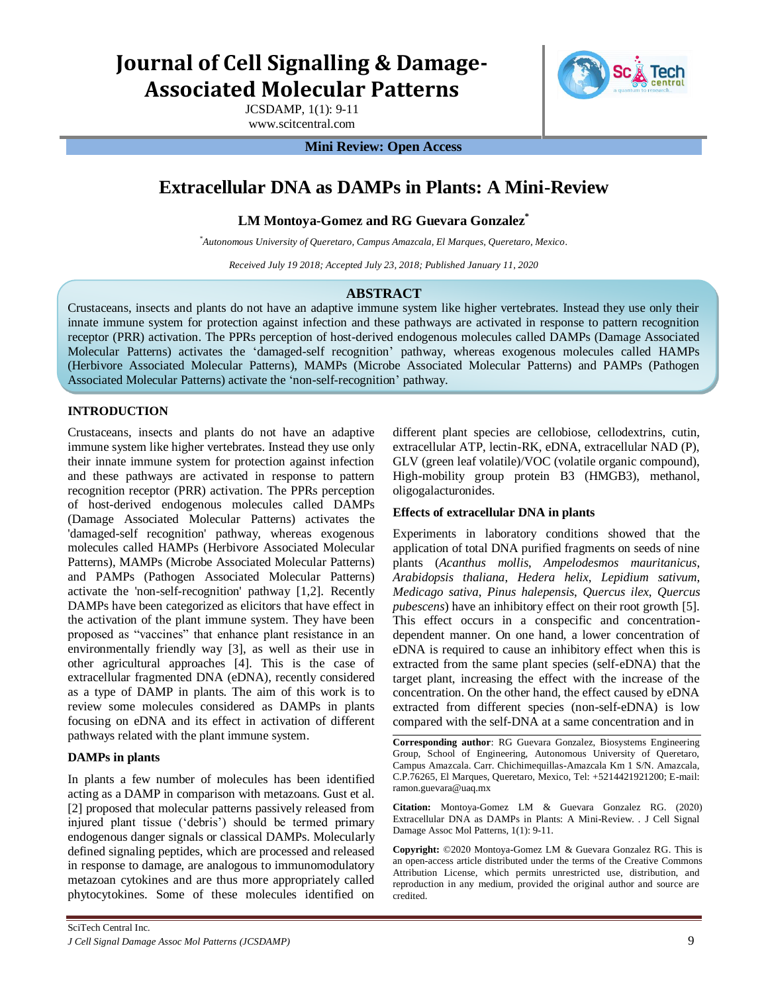# **Journal of Cell Signalling & Damage-Associated Molecular Patterns**

JCSDAMP, 1(1): 9-11 www.scitcentral.com



#### **Mini Review: Open Access**

# **Extracellular DNA as DAMPs in Plants: A Mini-Review**

# **LM Montoya-Gomez and RG Guevara Gonzalez\***

*\*Autonomous University of Queretaro, Campus Amazcala, El Marques, Queretaro, Mexico.* 

*Received July 19 2018; Accepted July 23, 2018; Published January 11, 2020*

# **ABSTRACT**

Crustaceans, insects and plants do not have an adaptive immune system like higher vertebrates. Instead they use only their innate immune system for protection against infection and these pathways are activated in response to pattern recognition receptor (PRR) activation. The PPRs perception of host-derived endogenous molecules called DAMPs (Damage Associated Molecular Patterns) activates the "damaged-self recognition" pathway, whereas exogenous molecules called HAMPs (Herbivore Associated Molecular Patterns), MAMPs (Microbe Associated Molecular Patterns) and PAMPs (Pathogen Associated Molecular Patterns) activate the "non-self-recognition" pathway.

# **INTRODUCTION**

Crustaceans, insects and plants do not have an adaptive immune system like higher vertebrates. Instead they use only their innate immune system for protection against infection and these pathways are activated in response to pattern recognition receptor (PRR) activation. The PPRs perception of host-derived endogenous molecules called DAMPs (Damage Associated Molecular Patterns) activates the 'damaged-self recognition' pathway, whereas exogenous molecules called HAMPs (Herbivore Associated Molecular Patterns), MAMPs (Microbe Associated Molecular Patterns) and PAMPs (Pathogen Associated Molecular Patterns) activate the 'non-self-recognition' pathway [1,2]. Recently DAMPs have been categorized as elicitors that have effect in the activation of the plant immune system. They have been proposed as "vaccines" that enhance plant resistance in an environmentally friendly way [3], as well as their use in other agricultural approaches [4]. This is the case of extracellular fragmented DNA (eDNA), recently considered as a type of DAMP in plants. The aim of this work is to review some molecules considered as DAMPs in plants focusing on eDNA and its effect in activation of different pathways related with the plant immune system.

#### **DAMPs in plants**

In plants a few number of molecules has been identified acting as a DAMP in comparison with metazoans. Gust et al. [2] proposed that molecular patterns passively released from injured plant tissue ("debris") should be termed primary endogenous danger signals or classical DAMPs. Molecularly defined signaling peptides, which are processed and released in response to damage, are analogous to immunomodulatory metazoan cytokines and are thus more appropriately called phytocytokines. Some of these molecules identified on

different plant species are cellobiose, cellodextrins, cutin, extracellular ATP, lectin-RK, eDNA, extracellular NAD (P), GLV (green leaf volatile)/VOC (volatile organic compound), High-mobility group protein B3 (HMGB3), methanol, oligogalacturonides.

#### **Effects of extracellular DNA in plants**

Experiments in laboratory conditions showed that the application of total DNA purified fragments on seeds of nine plants (*Acanthus mollis*, *Ampelodesmos mauritanicus*, *Arabidopsis thaliana*, *Hedera helix*, *Lepidium sativum*, *Medicago sativa*, *Pinus halepensis*, *Quercus ilex*, *Quercus pubescens*) have an inhibitory effect on their root growth [5]. This effect occurs in a conspecific and concentrationdependent manner. On one hand, a lower concentration of eDNA is required to cause an inhibitory effect when this is extracted from the same plant species (self-eDNA) that the target plant, increasing the effect with the increase of the concentration. On the other hand, the effect caused by eDNA extracted from different species (non-self-eDNA) is low compared with the self-DNA at a same concentration and in

**Corresponding author**: RG Guevara Gonzalez, Biosystems Engineering Group, School of Engineering, Autonomous University of Queretaro, Campus Amazcala. Carr. Chichimequillas-Amazcala Km 1 S/N. Amazcala, C.P.76265, El Marques, Queretaro, Mexico, Tel: +5214421921200; E-mail: ramon.guevara@uaq.mx

**Citation:** Montoya-Gomez LM & Guevara Gonzalez RG. (2020) Extracellular DNA as DAMPs in Plants: A Mini-Review*. .* J Cell Signal Damage Assoc Mol Patterns, 1(1): 9-11.

**Copyright:** ©2020 Montoya-Gomez LM & Guevara Gonzalez RG. This is an open-access article distributed under the terms of the Creative Commons Attribution License, which permits unrestricted use, distribution, and reproduction in any medium, provided the original author and source are credited.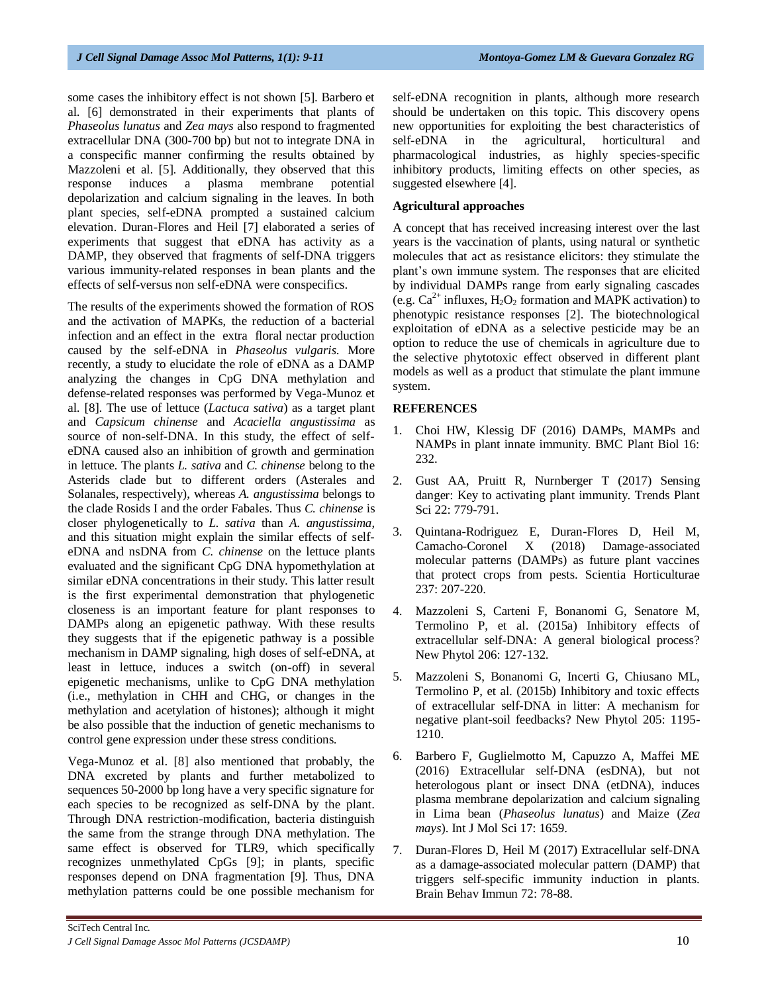some cases the inhibitory effect is not shown [5]. Barbero et al. [6] demonstrated in their experiments that plants of *Phaseolus lunatus* and *Zea mays* also respond to fragmented extracellular DNA (300-700 bp) but not to integrate DNA in a conspecific manner confirming the results obtained by Mazzoleni et al. [5]. Additionally, they observed that this response induces a plasma membrane potential depolarization and calcium signaling in the leaves. In both plant species, self-eDNA prompted a sustained calcium elevation. Duran-Flores and Heil [7] elaborated a series of experiments that suggest that eDNA has activity as a DAMP, they observed that fragments of self-DNA triggers various immunity-related responses in bean plants and the effects of self-versus non self-eDNA were conspecifics.

The results of the experiments showed the formation of ROS and the activation of MAPKs, the reduction of a bacterial infection and an effect in the extra floral nectar production caused by the self-eDNA in *Phaseolus vulgaris*. More recently, a study to elucidate the role of eDNA as a DAMP analyzing the changes in CpG DNA methylation and defense-related responses was performed by Vega-Munoz et al. [8]. The use of lettuce (*Lactuca sativa*) as a target plant and *Capsicum chinense* and *Acaciella angustissima* as source of non-self-DNA. In this study, the effect of selfeDNA caused also an inhibition of growth and germination in lettuce. The plants *L. sativa* and *C. chinense* belong to the Asterids clade but to different orders (Asterales and Solanales, respectively), whereas *A. angustissima* belongs to the clade Rosids I and the order Fabales. Thus *C. chinense* is closer phylogenetically to *L. sativa* than *A. angustissima*, and this situation might explain the similar effects of selfeDNA and nsDNA from *C. chinense* on the lettuce plants evaluated and the significant CpG DNA hypomethylation at similar eDNA concentrations in their study. This latter result is the first experimental demonstration that phylogenetic closeness is an important feature for plant responses to DAMPs along an epigenetic pathway. With these results they suggests that if the epigenetic pathway is a possible mechanism in DAMP signaling, high doses of self-eDNA, at least in lettuce, induces a switch (on-off) in several epigenetic mechanisms, unlike to CpG DNA methylation (i.e., methylation in CHH and CHG, or changes in the methylation and acetylation of histones); although it might be also possible that the induction of genetic mechanisms to control gene expression under these stress conditions.

Vega-Munoz et al. [8] also mentioned that probably, the DNA excreted by plants and further metabolized to sequences 50-2000 bp long have a very specific signature for each species to be recognized as self-DNA by the plant. Through DNA restriction-modification, bacteria distinguish the same from the strange through DNA methylation. The same effect is observed for TLR9, which specifically recognizes unmethylated CpGs [9]; in plants, specific responses depend on DNA fragmentation [9]. Thus, DNA methylation patterns could be one possible mechanism for self-eDNA recognition in plants, although more research should be undertaken on this topic. This discovery opens new opportunities for exploiting the best characteristics of self-eDNA in the agricultural, horticultural and pharmacological industries, as highly species-specific inhibitory products, limiting effects on other species, as suggested elsewhere [4].

# **Agricultural approaches**

A concept that has received increasing interest over the last years is the vaccination of plants, using natural or synthetic molecules that act as resistance elicitors: they stimulate the plant"s own immune system. The responses that are elicited by individual DAMPs range from early signaling cascades (e.g.  $Ca^{2+}$  influxes, H<sub>2</sub>O<sub>2</sub> formation and MAPK activation) to phenotypic resistance responses [2]. The biotechnological exploitation of eDNA as a selective pesticide may be an option to reduce the use of chemicals in agriculture due to the selective phytotoxic effect observed in different plant models as well as a product that stimulate the plant immune system.

#### **REFERENCES**

- 1. Choi HW, Klessig DF (2016) DAMPs, MAMPs and NAMPs in plant innate immunity. BMC Plant Biol 16: 232.
- 2. Gust AA, Pruitt R, Nurnberger T (2017) Sensing danger: Key to activating plant immunity. Trends Plant Sci 22: 779-791.
- 3. Quintana-Rodriguez E, Duran-Flores D, Heil M, Camacho-Coronel X (2018) Damage-associated molecular patterns (DAMPs) as future plant vaccines that protect crops from pests. Scientia Horticulturae 237: 207-220.
- 4. Mazzoleni S, Carteni F, Bonanomi G, Senatore M, Termolino P, et al. (2015a) Inhibitory effects of extracellular self-DNA: A general biological process? New Phytol 206: 127-132.
- 5. Mazzoleni S, Bonanomi G, Incerti G, Chiusano ML, Termolino P, et al. (2015b) Inhibitory and toxic effects of extracellular self-DNA in litter: A mechanism for negative plant-soil feedbacks? New Phytol 205: 1195- 1210.
- 6. Barbero F, Guglielmotto M, Capuzzo A, Maffei ME (2016) Extracellular self-DNA (esDNA), but not heterologous plant or insect DNA (etDNA), induces plasma membrane depolarization and calcium signaling in Lima bean (*Phaseolus lunatus*) and Maize (*Zea mays*). Int J Mol Sci 17: 1659.
- 7. Duran-Flores D, Heil M (2017) Extracellular self-DNA as a damage-associated molecular pattern (DAMP) that triggers self-specific immunity induction in plants. Brain Behav Immun 72: 78-88.